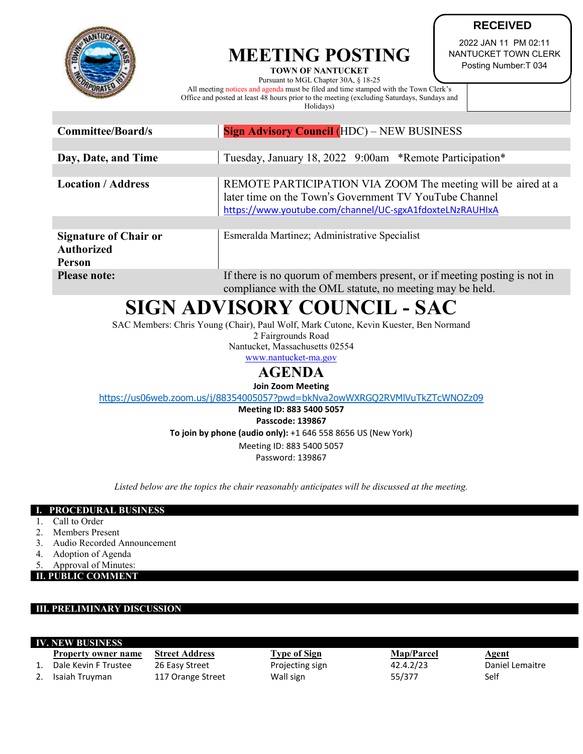

## **MEETING POSTING**

**TOWN OF NANTUCKET**  Pursuant to MGL Chapter 30A, § 18-25 All meeting notices and agenda must be filed and time stamped with the Town Clerk's Office and posted at least 48 hours prior to the meeting (excluding Saturdays, Sundays and

Holidays)

**RECEIVED**

2022 JAN 11 PM 02:11 NANTUCKET TOWN CLERK Posting Number:T 034

| Committee/Board/s                                                  | <b>Sign Advisory Council (HDC) – NEW BUSINESS</b>                                                                                                                                  |  |  |
|--------------------------------------------------------------------|------------------------------------------------------------------------------------------------------------------------------------------------------------------------------------|--|--|
|                                                                    |                                                                                                                                                                                    |  |  |
| Day, Date, and Time                                                | Tuesday, January 18, 2022 9:00am *Remote Participation*                                                                                                                            |  |  |
|                                                                    |                                                                                                                                                                                    |  |  |
| <b>Location / Address</b>                                          | REMOTE PARTICIPATION VIA ZOOM The meeting will be aired at a<br>later time on the Town's Government TV YouTube Channel<br>https://www.youtube.com/channel/UC-sgxA1fdoxteLNzRAUHIxA |  |  |
|                                                                    |                                                                                                                                                                                    |  |  |
| <b>Signature of Chair or</b><br><b>Authorized</b><br><b>Person</b> | Esmeralda Martinez; Administrative Specialist                                                                                                                                      |  |  |
| <b>Please note:</b>                                                | If there is no quorum of members present, or if meeting posting is not in                                                                                                          |  |  |

compliance with the OML statute, no meeting may be held.

# **SIGN ADVISORY COUNCIL - SAC**

SAC Members: Chris Young (Chair), Paul Wolf, Mark Cutone, Kevin Kuester, Ben Normand

2 Fairgrounds Road

Nantucket, Massachusetts 02554 [www.nantucket-ma.gov](http://www.nantucket-ma.gov/)

### **AGENDA**

**Join Zoom Meeting**

<https://us06web.zoom.us/j/88354005057?pwd=bkNva2owWXRGQ2RVMlVuTkZTcWNOZz09>

**Meeting ID: 883 5400 5057 Passcode: 139867**

**To join by phone (audio only):** +1 646 558 8656 US (New York)

Meeting ID: 883 5400 5057 Password: 139867

*Listed below are the topics the chair reasonably anticipates will be discussed at the meeting.*

### **I. PROCEDURAL BUSINESS**

- 1. Call to Order
- 2. Members Present
- 3. Audio Recorded Announcement
- 4. Adoption of Agenda
- Approval of Minutes:

**II. PUBLIC COMMENT**

### **III. PRELIMINARY DISCUSSION**

**IV. NEW BUSINESS Property owner name** Street Address **Type of Sign Map/Parcel** Agent 1. Dale Kevin F Trustee 26 Easy Street Projecting sign 32.4.2/23 Daniel Lemaitre 2. Isaiah Truyman 117 Orange Street Wall sign 55/377 Self